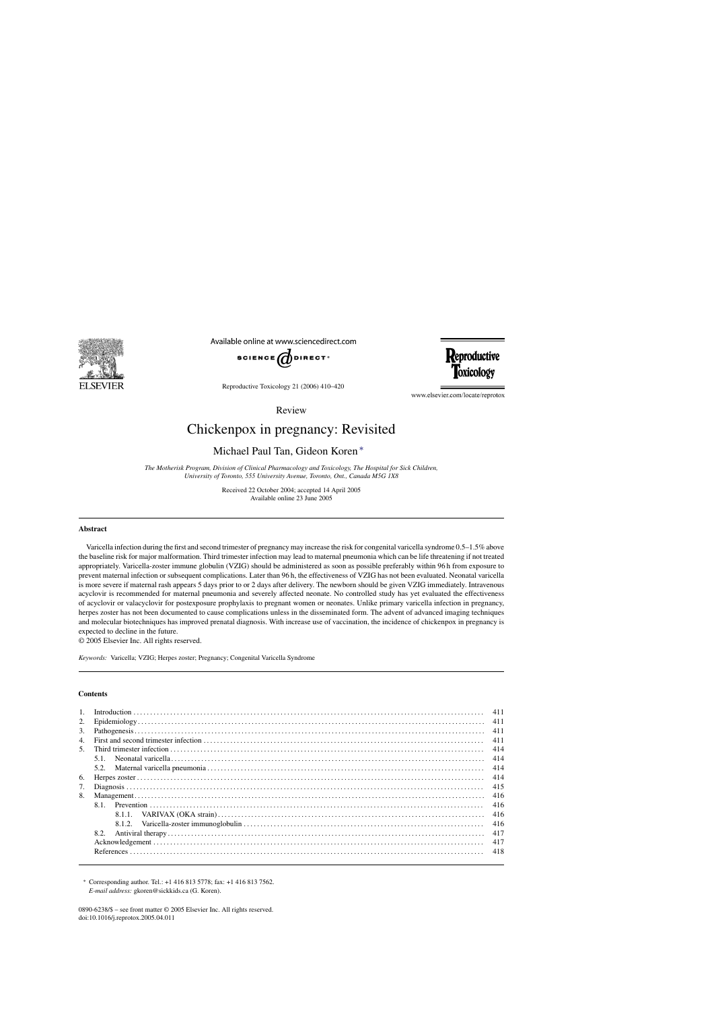

Available online at www.sciencedirect.com





Reproductive Toxicology 21 (2006) 410–420

www.elsevier.com/locate/reprotox

Review

# Chickenpox in pregnancy: Revisited

# Michael Paul Tan, Gideon Koren ∗

*The Motherisk Program, Division of Clinical Pharmacology and Toxicology, The Hospital for Sick Children, University of Toronto, 555 University Avenue, Toronto, Ont., Canada M5G 1X8*

> Received 22 October 2004; accepted 14 April 2005 Available online 23 June 2005

#### **Abstract**

Varicella infection during the first and second trimester of pregnancy may increase the risk for congenital varicella syndrome 0.5–1.5% above the baseline risk for major malformation. Third trimester infection may lead to maternal pneumonia which can be life threatening if not treated appropriately. Varicella-zoster immune globulin (VZIG) should be administered as soon as possible preferably within 96 h from exposure to prevent maternal infection or subsequent complications. Later than 96 h, the effectiveness of VZIG has not been evaluated. Neonatal varicella is more severe if maternal rash appears 5 days prior to or 2 days after delivery. The newborn should be given VZIG immediately. Intravenous acyclovir is recommended for maternal pneumonia and severely affected neonate. No controlled study has yet evaluated the effectiveness of acyclovir or valacyclovir for postexposure prophylaxis to pregnant women or neonates. Unlike primary varicella infection in pregnancy, herpes zoster has not been documented to cause complications unless in the disseminated form. The advent of advanced imaging techniques and molecular biotechniques has improved prenatal diagnosis. With increase use of vaccination, the incidence of chickenpox in pregnancy is expected to decline in the future.

© 2005 Elsevier Inc. All rights reserved.

*Keywords:* Varicella; VZIG; Herpes zoster; Pregnancy; Congenital Varicella Syndrome

# **Contents**

| 1.               |        |     |
|------------------|--------|-----|
| 2.               |        |     |
| 3.               |        | 411 |
| $\overline{4}$ . |        | 411 |
|                  |        | 414 |
|                  | 5.1.   |     |
|                  |        | 414 |
| 6.               |        |     |
| 7.               |        |     |
| 8.               |        | 416 |
|                  |        | 416 |
|                  | 8.1.1  | 416 |
|                  | 8.1.2. | 416 |
|                  | 8.2.   | 417 |
|                  |        | 417 |
|                  |        | 418 |
|                  |        |     |

∗ Corresponding author. Tel.: +1 416 813 5778; fax: +1 416 813 7562. *E-mail address:* gkoren@sickkids.ca (G. Koren).

0890-6238/\$ – see front matter © 2005 Elsevier Inc. All rights reserved. doi:10.1016/j.reprotox.2005.04.011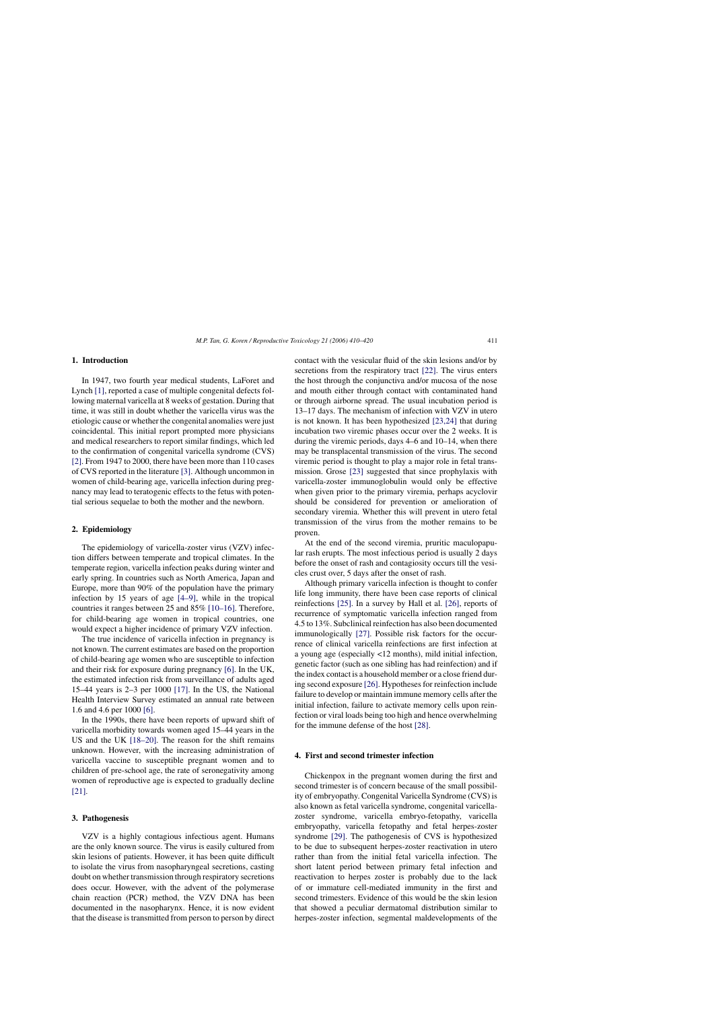# **1. Introduction**

In 1947, two fourth year medical students, LaForet and Lynch [\[1\],](#page-8-0) reported a case of multiple congenital defects following maternal varicella at 8 weeks of gestation. During that time, it was still in doubt whether the varicella virus was the etiologic cause or whether the congenital anomalies were just coincidental. This initial report prompted more physicians and medical researchers to report similar findings, which led to the confirmation of congenital varicella syndrome (CVS) [\[2\]. F](#page-8-0)rom 1947 to 2000, there have been more than 110 cases of CVS reported in the literature [\[3\]. A](#page-8-0)lthough uncommon in women of child-bearing age, varicella infection during pregnancy may lead to teratogenic effects to the fetus with potential serious sequelae to both the mother and the newborn.

#### **2. Epidemiology**

The epidemiology of varicella-zoster virus (VZV) infection differs between temperate and tropical climates. In the temperate region, varicella infection peaks during winter and early spring. In countries such as North America, Japan and Europe, more than 90% of the population have the primary infection by 15 years of age [\[4–9\],](#page-8-0) while in the tropical countries it ranges between 25 and 85% [\[10–16\]. T](#page-8-0)herefore, for child-bearing age women in tropical countries, one would expect a higher incidence of primary VZV infection.

The true incidence of varicella infection in pregnancy is not known. The current estimates are based on the proportion of child-bearing age women who are susceptible to infection and their risk for exposure during pregnancy [\[6\].](#page-8-0) In the UK, the estimated infection risk from surveillance of adults aged 15–44 years is 2–3 per 1000 [\[17\].](#page-8-0) In the US, the National Health Interview Survey estimated an annual rate between 1.6 and 4.6 per 1000 [\[6\].](#page-8-0)

In the 1990s, there have been reports of upward shift of varicella morbidity towards women aged 15–44 years in the US and the UK [\[18–20\].](#page-8-0) The reason for the shift remains unknown. However, with the increasing administration of varicella vaccine to susceptible pregnant women and to children of pre-school age, the rate of seronegativity among women of reproductive age is expected to gradually decline [\[21\].](#page-8-0)

# **3. Pathogenesis**

VZV is a highly contagious infectious agent. Humans are the only known source. The virus is easily cultured from skin lesions of patients. However, it has been quite difficult to isolate the virus from nasopharyngeal secretions, casting doubt on whether transmission through respiratory secretions does occur. However, with the advent of the polymerase chain reaction (PCR) method, the VZV DNA has been documented in the nasopharynx. Hence, it is now evident that the disease is transmitted from person to person by direct contact with the vesicular fluid of the skin lesions and/or by secretions from the respiratory tract [\[22\].](#page-8-0) The virus enters the host through the conjunctiva and/or mucosa of the nose and mouth either through contact with contaminated hand or through airborne spread. The usual incubation period is 13–17 days. The mechanism of infection with VZV in utero is not known. It has been hypothesized [\[23,24\]](#page-8-0) that during incubation two viremic phases occur over the 2 weeks. It is during the viremic periods, days 4–6 and 10–14, when there may be transplacental transmission of the virus. The second viremic period is thought to play a major role in fetal transmission. Grose [\[23\]](#page-8-0) suggested that since prophylaxis with varicella-zoster immunoglobulin would only be effective when given prior to the primary viremia, perhaps acyclovir should be considered for prevention or amelioration of secondary viremia. Whether this will prevent in utero fetal transmission of the virus from the mother remains to be proven.

At the end of the second viremia, pruritic maculopapular rash erupts. The most infectious period is usually 2 days before the onset of rash and contagiosity occurs till the vesicles crust over, 5 days after the onset of rash.

Although primary varicella infection is thought to confer life long immunity, there have been case reports of clinical reinfections [\[25\].](#page-8-0) In a survey by Hall et al. [\[26\],](#page-8-0) reports of recurrence of symptomatic varicella infection ranged from 4.5 to 13%. Subclinical reinfection has also been documented immunologically [\[27\].](#page-8-0) Possible risk factors for the occurrence of clinical varicella reinfections are first infection at a young age (especially <12 months), mild initial infection, genetic factor (such as one sibling has had reinfection) and if the index contact is a household member or a close friend during second exposure [\[26\]. H](#page-8-0)ypotheses for reinfection include failure to develop or maintain immune memory cells after the initial infection, failure to activate memory cells upon reinfection or viral loads being too high and hence overwhelming for the immune defense of the host [\[28\].](#page-8-0)

# **4. First and second trimester infection**

Chickenpox in the pregnant women during the first and second trimester is of concern because of the small possibility of embryopathy. Congenital Varicella Syndrome (CVS) is also known as fetal varicella syndrome, congenital varicellazoster syndrome, varicella embryo-fetopathy, varicella embryopathy, varicella fetopathy and fetal herpes-zoster syndrome [\[29\].](#page-8-0) The pathogenesis of CVS is hypothesized to be due to subsequent herpes-zoster reactivation in utero rather than from the initial fetal varicella infection. The short latent period between primary fetal infection and reactivation to herpes zoster is probably due to the lack of or immature cell-mediated immunity in the first and second trimesters. Evidence of this would be the skin lesion that showed a peculiar dermatomal distribution similar to herpes-zoster infection, segmental maldevelopments of the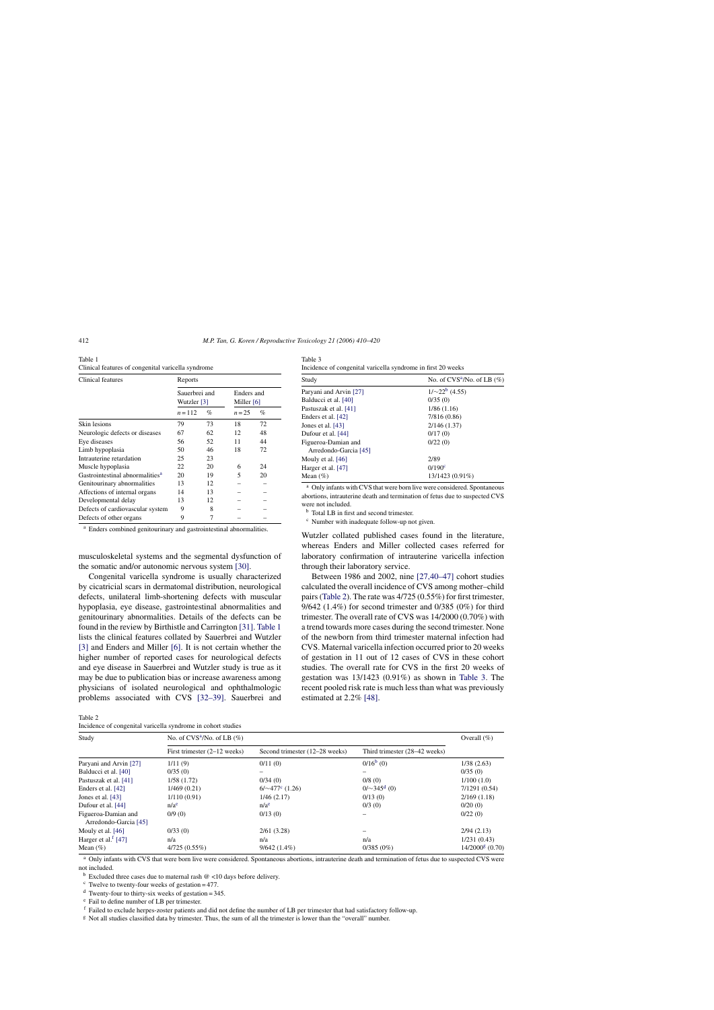| Table 1                                            |
|----------------------------------------------------|
| Clinical features of congenital varicella syndrome |

| Clinical features                           | Reports                      |      |                            |      |  |  |
|---------------------------------------------|------------------------------|------|----------------------------|------|--|--|
|                                             | Sauerbrei and<br>Wutzler [3] |      | Enders and<br>Miller $[6]$ |      |  |  |
|                                             | $n = 112$                    | $\%$ | $n = 25$                   | $\%$ |  |  |
| Skin lesions                                | 79                           | 73   | 18                         | 72   |  |  |
| Neurologic defects or diseases              | 67                           | 62   | 12                         | 48   |  |  |
| Eye diseases                                | 56                           | 52   | 11                         | 44   |  |  |
| Limb hypoplasia                             | 50                           | 46   | 18                         | 72   |  |  |
| Intrauterine retardation                    | 25                           | 23   |                            |      |  |  |
| Muscle hypoplasia                           | 22                           | 20   | 6                          | 24   |  |  |
| Gastrointestinal abnormalities <sup>a</sup> | 20                           | 19   | 5                          | 20   |  |  |
| Genitourinary abnormalities                 | 13                           | 12   |                            |      |  |  |
| Affections of internal organs               | 14                           | 13   |                            |      |  |  |
| Developmental delay                         | 13                           | 12   |                            |      |  |  |
| Defects of cardiovascular system            | 9                            | 8    |                            |      |  |  |
| Defects of other organs                     | 9                            |      |                            |      |  |  |

<sup>a</sup> Enders combined genitourinary and gastrointestinal abnormalities.

musculoskeletal systems and the segmental dysfunction of the somatic and/or autonomic nervous system [\[30\].](#page-8-0)

Congenital varicella syndrome is usually characterized by cicatricial scars in dermatomal distribution, neurological defects, unilateral limb-shortening defects with muscular hypoplasia, eye disease, gastrointestinal abnormalities and genitourinary abnormalities. Details of the defects can be found in the review by Birthistle and Carrington [\[31\].](#page-8-0) Table 1 lists the clinical features collated by Sauerbrei and Wutzler [\[3\]](#page-8-0) and Enders and Miller [\[6\].](#page-8-0) It is not certain whether the higher number of reported cases for neurological defects and eye disease in Sauerbrei and Wutzler study is true as it may be due to publication bias or increase awareness among physicians of isolated neurological and ophthalmologic problems associated with CVS [\[32–39\].](#page-8-0) Sauerbrei and

Table 2

Incidence of congenital varicella syndrome in cohort studies

Table 3 Incidence of congenital varicella syndrome in first 20 weeks

| Study                  | No. of $CVS^2/No$ . of LB $(\%)$ |  |  |
|------------------------|----------------------------------|--|--|
| Paryani and Arvin [27] | $1/\sim 22^b$ (4.55)             |  |  |
| Balducci et al. [40]   | 0/35(0)                          |  |  |
| Pastuszak et al. [41]  | 1/86(1.16)                       |  |  |
| Enders et al. [42]     | 7/816 (0.86)                     |  |  |
| Jones et al. [43]      | 2/146(1.37)                      |  |  |
| Dufour et al. [44]     | 0/17(0)                          |  |  |
| Figueroa-Damian and    | 0/22(0)                          |  |  |
| Arredondo-Garcia [45]  |                                  |  |  |
| Mouly et al. $[46]$    | 2/89                             |  |  |
| Harger et al. [47]     | 0/190 <sup>c</sup>               |  |  |
| Mean $(\% )$           | 13/1423 (0.91%)                  |  |  |

<sup>a</sup> Only infants with CVS that were born live were considered. Spontaneous abortions, intrauterine death and termination of fetus due to suspected CVS were not included.

<sup>b</sup> Total LB in first and second trimester.

<sup>c</sup> Number with inadequate follow-up not given.

Wutzler collated published cases found in the literature, whereas Enders and Miller collected cases referred for laboratory confirmation of intrauterine varicella infection through their laboratory service.

Between 1986 and 2002, nine [\[27,40–47\]](#page-8-0) cohort studies calculated the overall incidence of CVS among mother–child pairs (Table 2). The rate was 4/725 (0.55%) for first trimester, 9/642 (1.4%) for second trimester and 0/385 (0%) for third trimester. The overall rate of CVS was 14/2000 (0.70%) with a trend towards more cases during the second trimester. None of the newborn from third trimester maternal infection had CVS. Maternal varicella infection occurred prior to 20 weeks of gestation in 11 out of 12 cases of CVS in these cohort studies. The overall rate for CVS in the first 20 weeks of gestation was 13/1423 (0.91%) as shown in Table 3. The recent pooled risk rate is much less than what was previously estimated at 2.2% [\[48\].](#page-9-0)

| Study                                        | No. of $CVS^2/No$ . of LB $(\%)$ |                                |                               |                                 |  |
|----------------------------------------------|----------------------------------|--------------------------------|-------------------------------|---------------------------------|--|
|                                              | First trimester $(2-12$ weeks)   | Second trimester (12–28 weeks) | Third trimester (28–42 weeks) |                                 |  |
| Paryani and Arvin [27]                       | 1/11(9)                          | 0/11(0)                        | $0/16^b(0)$                   | 1/38(2.63)                      |  |
| Balducci et al. [40]                         | 0/35(0)                          |                                |                               | 0/35(0)                         |  |
| Pastuszak et al. [41]                        | 1/58(1.72)                       | 0/34(0)                        | 0/8(0)                        | 1/100(1.0)                      |  |
| Enders et al. [42]                           | 1/469(0.21)                      | $6/\sim 477$ ° (1.26)          | $0/\sim$ 345 <sup>d</sup> (0) | 7/1291(0.54)                    |  |
| Jones et al. [43]                            | 1/110(0.91)                      | 1/46(2.17)                     | 0/13(0)                       | 2/169(1.18)                     |  |
| Dufour et al. [44]                           | n/a <sup>e</sup>                 | n/a <sup>e</sup>               | 0/3(0)                        | 0/20(0)                         |  |
| Figueroa-Damian and<br>Arredondo-Garcia [45] | 0/9(0)                           | 0/13(0)                        |                               | 0/22(0)                         |  |
| Mouly et al. $[46]$                          | 0/33(0)                          | 2/61(3.28)                     |                               | 2/94(2.13)                      |  |
| Harger et al. <sup>f</sup> [47]              | n/a                              | n/a                            | n/a                           | 1/231(0.43)                     |  |
| Mean $(\% )$                                 | $4/725(0.55\%)$                  | $9/642(1.4\%)$                 | $0/385(0\%)$                  | $14/2000$ <sup>g</sup> $(0.70)$ |  |

<sup>a</sup> Only infants with CVS that were born live were considered. Spontaneous abortions, intrauterine death and termination of fetus due to suspected CVS were not included.

 $<sup>b</sup>$  Excluded three cases due to maternal rash @ <10 days before delivery.</sup>

 $\textdegree$  Twelve to twenty-four weeks of gestation = 477.

 $d$  Twenty-four to thirty-six weeks of gestation = 345.

<sup>e</sup> Fail to define number of LB per trimester.

<sup>f</sup> Failed to exclude herpes-zoster patients and did not define the number of LB per trimester that had satisfactory follow-up.

<sup>g</sup> Not all studies classified data by trimester. Thus, the sum of all the trimester is lower than the "overall" number.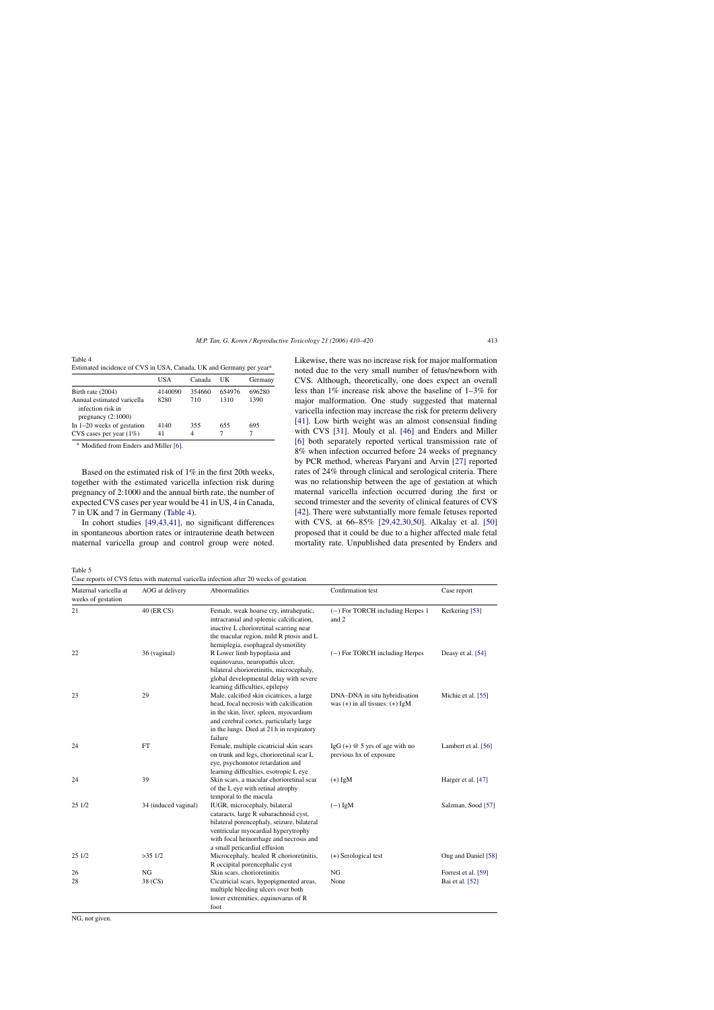<span id="page-3-0"></span>Table 4 Estimated incidence of CVS in USA, Canada, UK and Germany per year<sup>a</sup>

|                                                                         | USA     | Canada | UK     | Germany |
|-------------------------------------------------------------------------|---------|--------|--------|---------|
| Birth rate (2004)                                                       | 4140090 | 354660 | 654976 | 696280  |
| Annual estimated varicella<br>infection risk in<br>pregnancy $(2:1000)$ | 8280    | 710    | 1310   | 1390    |
| In $1-20$ weeks of gestation                                            | 4140    | 355    | 655    | 695     |
| CVS cases per year $(1\%)$                                              | 41      | 4      |        |         |

<sup>a</sup> Modified from Enders and Miller [\[6\].](#page-8-0)

Based on the estimated risk of 1% in the first 20th weeks, together with the estimated varicella infection risk during pregnancy of 2:1000 and the annual birth rate, the number of expected CVS cases per year would be 41 in US, 4 in Canada, 7 in UK and 7 in Germany (Table 4).

In cohort studies [\[49,43,41\],](#page-9-0) no significant differences in spontaneous abortion rates or intrauterine death between maternal varicella group and control group were noted.

Table 5

Case reports of CVS fetus with maternal varicella infection after 20 weeks of gestation

Likewise, there was no increase risk for major malformation noted due to the very small number of fetus/newborn with CVS. Although, theoretically, one does expect an overall less than 1% increase risk above the baseline of 1–3% for major malformation. One study suggested that maternal varicella infection may increase the risk for preterm delivery [\[41\].](#page-8-0) Low birth weight was an almost consensual finding with CVS [\[31\].](#page-8-0) Mouly et al. [\[46\]](#page-8-0) and Enders and Miller [\[6\]](#page-8-0) both separately reported vertical transmission rate of 8% when infection occurred before 24 weeks of pregnancy by PCR method, whereas Paryani and Arvin [\[27\]](#page-8-0) reported rates of 24% through clinical and serological criteria. There was no relationship between the age of gestation at which maternal varicella infection occurred during the first or second trimester and the severity of clinical features of CVS [\[42\].](#page-8-0) There were substantially more female fetuses reported with CVS, at 66–85% [\[29,42,30,50\].](#page-8-0) Alkalay et al. [\[50\]](#page-9-0) proposed that it could be due to a higher affected male fetal mortality rate. Unpublished data presented by Enders and

| Maternal varicella at<br>weeks of gestation | AOG at delivery      | Abnormalities                                                                                                                                                                                                                         | Confirmation test                                                    | Case report                            |  |
|---------------------------------------------|----------------------|---------------------------------------------------------------------------------------------------------------------------------------------------------------------------------------------------------------------------------------|----------------------------------------------------------------------|----------------------------------------|--|
| 21                                          | 40 (ER CS)           | Female, weak hoarse cry, intrahepatic,<br>intracranial and spleenic calcification,<br>inactive L chorioretinal scarring near<br>the macular region, mild R ptosis and L<br>hemiplegia, esophageal dysmotility                         | $(-)$ For TORCH including Herpes 1<br>and 2                          |                                        |  |
| 22                                          | 36 (vaginal)         | R Lower limb hypoplasia and<br>equinovarus, neuropathis ulcer,<br>bilateral chorioretinitis, microcephaly,<br>global developmental delay with severe<br>learning difficulties, epilepsy                                               | $(-)$ For TORCH including Herpes                                     | Deasy et al. [54]                      |  |
| 23                                          | 29                   | Male, calcified skin cicatrices, a large<br>head, focal necrosis with calcification<br>in the skin, liver, spleen, myocardium<br>and cerebral cortex, particularly large<br>in the lungs. Died at 21 h in respiratory<br>failure      | DNA-DNA in situ hybridisation<br>was $(+)$ in all tissues. $(+)$ IgM | Michie et al. [55]                     |  |
| 24                                          | <b>FT</b>            | Female, multiple cicatricial skin scars<br>on trunk and legs, chorioretinal scar L<br>eye, psychomotor retardation and<br>learning difficulties, esotropic L eye                                                                      | IgG $(+)$ @ 5 yrs of age with no<br>previous hx of exposure          | Lambert et al. [56]                    |  |
| 24                                          | 39                   | Skin scars, a macular chorioretinal scar<br>of the L eye with retinal atrophy<br>temporal to the macula                                                                                                                               | $(+)$ IgM                                                            | Harger et al. [47]                     |  |
| 25 1/2                                      | 34 (induced vaginal) | IUGR, microcephaly, bilateral<br>cataracts, large R subarachnoid cyst,<br>bilateral porencephaly, seizure, bilateral<br>ventricular myocardial hyperytrophy<br>with focal hemorrhage and necrosis and<br>a small pericardial effusion | $(-)$ IgM                                                            | Salzman, Sood [57]                     |  |
| 25 1/2                                      | $>35$ 1/2            | Microcephaly, healed R chorioretinitis,<br>R occipital porencephalic cyst                                                                                                                                                             | (+) Serological test                                                 | Ong and Daniel [58]                    |  |
| 26<br>28                                    | NG<br>38 (CS)        | Skin scars, chorioretinitis<br>Cicatricial scars, hypopigmented areas,<br>multiple bleeding ulcers over both<br>lower extremities, equinovarus of R<br>foot                                                                           | NG<br>None                                                           | Forrest et al. [59]<br>Bai et al. [52] |  |

NG, not given.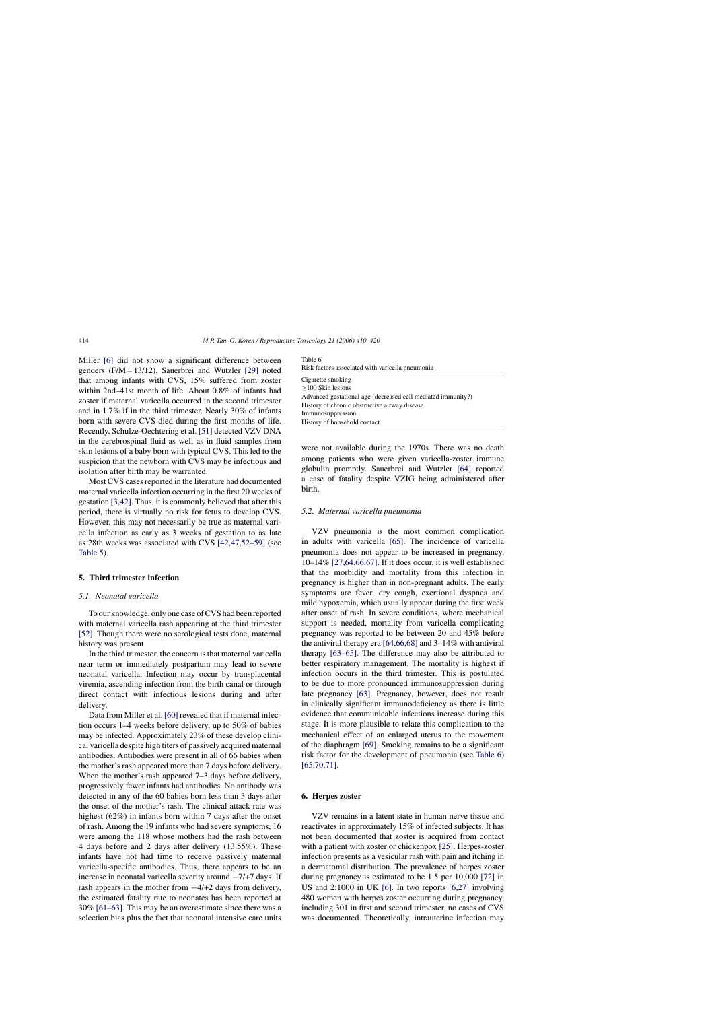Miller [\[6\]](#page-8-0) did not show a significant difference between genders (F/M = 13/12). Sauerbrei and Wutzler [\[29\]](#page-8-0) noted that among infants with CVS, 15% suffered from zoster within 2nd–41st month of life. About 0.8% of infants had zoster if maternal varicella occurred in the second trimester and in 1.7% if in the third trimester. Nearly 30% of infants born with severe CVS died during the first months of life. Recently, Schulze-Oechtering et al. [\[51\]](#page-9-0) detected VZV DNA in the cerebrospinal fluid as well as in fluid samples from skin lesions of a baby born with typical CVS. This led to the suspicion that the newborn with CVS may be infectious and isolation after birth may be warranted.

Most CVS cases reported in the literature had documented maternal varicella infection occurring in the first 20 weeks of gestation [\[3,42\]. T](#page-8-0)hus, it is commonly believed that after this period, there is virtually no risk for fetus to develop CVS. However, this may not necessarily be true as maternal varicella infection as early as 3 weeks of gestation to as late as 28th weeks was associated with CVS [\[42,47,52–59\]](#page-8-0) (see [Table 5\).](#page-3-0)

#### **5. Third trimester infection**

#### *5.1. Neonatal varicella*

To our knowledge, only one case of CVS had been reported with maternal varicella rash appearing at the third trimester [\[52\].](#page-9-0) Though there were no serological tests done, maternal history was present.

In the third trimester, the concern is that maternal varicella near term or immediately postpartum may lead to severe neonatal varicella. Infection may occur by transplacental viremia, ascending infection from the birth canal or through direct contact with infectious lesions during and after delivery.

Data from Miller et al. [\[60\]](#page-9-0) revealed that if maternal infection occurs 1–4 weeks before delivery, up to 50% of babies may be infected. Approximately 23% of these develop clinical varicella despite high titers of passively acquired maternal antibodies. Antibodies were present in all of 66 babies when the mother's rash appeared more than 7 days before delivery. When the mother's rash appeared 7–3 days before delivery, progressively fewer infants had antibodies. No antibody was detected in any of the 60 babies born less than 3 days after the onset of the mother's rash. The clinical attack rate was highest (62%) in infants born within 7 days after the onset of rash. Among the 19 infants who had severe symptoms, 16 were among the 118 whose mothers had the rash between 4 days before and 2 days after delivery (13.55%). These infants have not had time to receive passively maternal varicella-specific antibodies. Thus, there appears to be an increase in neonatal varicella severity around −7/+7 days. If rash appears in the mother from −4/+2 days from delivery, the estimated fatality rate to neonates has been reported at 30% [\[61–63\]. T](#page-9-0)his may be an overestimate since there was a selection bias plus the fact that neonatal intensive care units

| Table 6                                                      |  |  |  |
|--------------------------------------------------------------|--|--|--|
| Risk factors associated with varicella pneumonia             |  |  |  |
| Cigarette smoking                                            |  |  |  |
| $>100$ Skin lesions                                          |  |  |  |
| Advanced gestational age (decreased cell mediated immunity?) |  |  |  |
| History of chronic obstructive airway disease                |  |  |  |
| Immunosuppression                                            |  |  |  |
| History of household contact                                 |  |  |  |

were not available during the 1970s. There was no death among patients who were given varicella-zoster immune globulin promptly. Sauerbrei and Wutzler [\[64\]](#page-9-0) reported a case of fatality despite VZIG being administered after birth.

#### *5.2. Maternal varicella pneumonia*

VZV pneumonia is the most common complication in adults with varicella [\[65\].](#page-9-0) The incidence of varicella pneumonia does not appear to be increased in pregnancy, 10–14% [\[27,64,66,67\].](#page-8-0) If it does occur, it is well established that the morbidity and mortality from this infection in pregnancy is higher than in non-pregnant adults. The early symptoms are fever, dry cough, exertional dyspnea and mild hypoxemia, which usually appear during the first week after onset of rash. In severe conditions, where mechanical support is needed, mortality from varicella complicating pregnancy was reported to be between 20 and 45% before the antiviral therapy era [\[64,66,68\]](#page-9-0) and 3–14% with antiviral therapy [\[63–65\].](#page-9-0) The difference may also be attributed to better respiratory management. The mortality is highest if infection occurs in the third trimester. This is postulated to be due to more pronounced immunosuppression during late pregnancy [\[63\].](#page-9-0) Pregnancy, however, does not result in clinically significant immunodeficiency as there is little evidence that communicable infections increase during this stage. It is more plausible to relate this complication to the mechanical effect of an enlarged uterus to the movement of the diaphragm [\[69\].](#page-9-0) Smoking remains to be a significant risk factor for the development of pneumonia (see Table 6) [\[65,70,71\].](#page-9-0)

#### **6. Herpes zoster**

VZV remains in a latent state in human nerve tissue and reactivates in approximately 15% of infected subjects. It has not been documented that zoster is acquired from contact with a patient with zoster or chickenpox [\[25\]. H](#page-8-0)erpes-zoster infection presents as a vesicular rash with pain and itching in a dermatomal distribution. The prevalence of herpes zoster during pregnancy is estimated to be 1.5 per 10,000 [\[72\]](#page-9-0) in US and 2:1000 in UK [\[6\].](#page-8-0) In two reports [\[6,27\]](#page-8-0) involving 480 women with herpes zoster occurring during pregnancy, including 301 in first and second trimester, no cases of CVS was documented. Theoretically, intrauterine infection may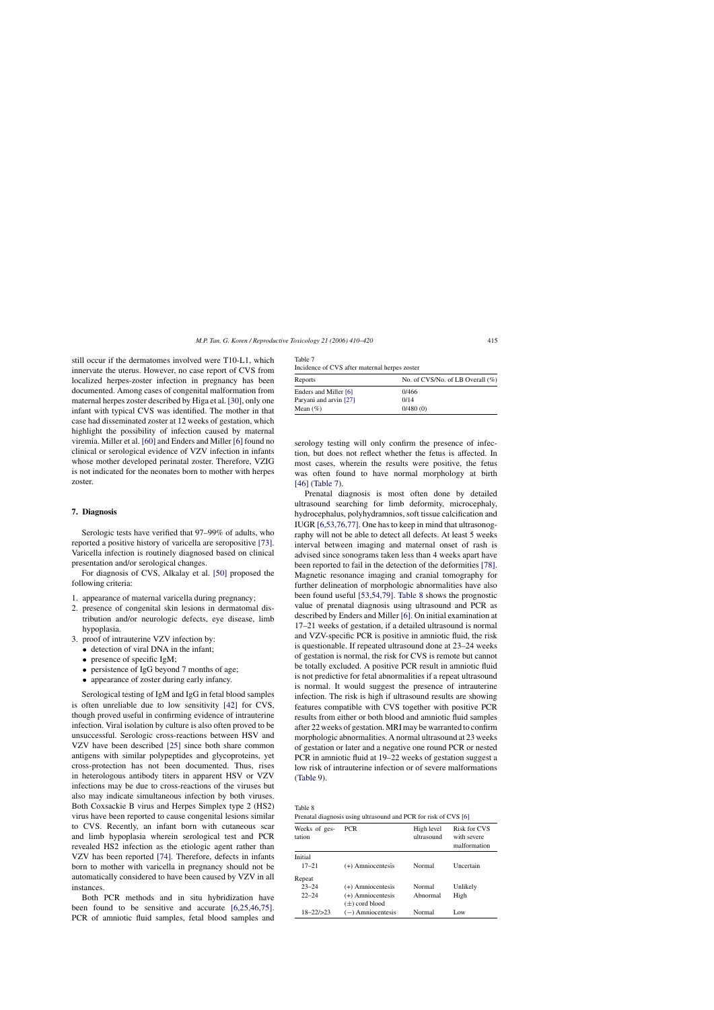still occur if the dermatomes involved were T10-L1, which innervate the uterus. However, no case report of CVS from localized herpes-zoster infection in pregnancy has been documented. Among cases of congenital malformation from maternal herpes zoster described by Higa et al. [\[30\], o](#page-8-0)nly one infant with typical CVS was identified. The mother in that case had disseminated zoster at 12 weeks of gestation, which highlight the possibility of infection caused by maternal viremia. Miller et al. [\[60\]](#page-9-0) and Enders and Miller [\[6\]](#page-8-0) found no clinical or serological evidence of VZV infection in infants whose mother developed perinatal zoster. Therefore, VZIG is not indicated for the neonates born to mother with herpes zoster.

# **7. Diagnosis**

Serologic tests have verified that 97–99% of adults, who reported a positive history of varicella are seropositive [\[73\].](#page-9-0) Varicella infection is routinely diagnosed based on clinical presentation and/or serological changes.

For diagnosis of CVS, Alkalay et al. [\[50\]](#page-9-0) proposed the following criteria:

- 1. appearance of maternal varicella during pregnancy;
- 2. presence of congenital skin lesions in dermatomal distribution and/or neurologic defects, eye disease, limb hypoplasia.
- 3. proof of intrauterine VZV infection by:
	- detection of viral DNA in the infant;
	- presence of specific IgM;
	- persistence of IgG beyond 7 months of age;
	- appearance of zoster during early infancy.

Serological testing of IgM and IgG in fetal blood samples is often unreliable due to low sensitivity [\[42\]](#page-8-0) for CVS, though proved useful in confirming evidence of intrauterine infection. Viral isolation by culture is also often proved to be unsuccessful. Serologic cross-reactions between HSV and VZV have been described [\[25\]](#page-8-0) since both share common antigens with similar polypeptides and glycoproteins, yet cross-protection has not been documented. Thus, rises in heterologous antibody titers in apparent HSV or VZV infections may be due to cross-reactions of the viruses but also may indicate simultaneous infection by both viruses. Both Coxsackie B virus and Herpes Simplex type 2 (HS2) virus have been reported to cause congenital lesions similar to CVS. Recently, an infant born with cutaneous scar and limb hypoplasia wherein serological test and PCR revealed HS2 infection as the etiologic agent rather than VZV has been reported [\[74\].](#page-9-0) Therefore, defects in infants born to mother with varicella in pregnancy should not be automatically considered to have been caused by VZV in all instances.

Both PCR methods and in situ hybridization have been found to be sensitive and accurate [\[6,25,46,75\].](#page-8-0) PCR of amniotic fluid samples, fetal blood samples and

Table 7 Incidence of CVS after maternal herpes zoster

| No. of CVS/No. of LB Overall $(\%)$ |
|-------------------------------------|
| 0/466                               |
| 0/14                                |
| 0/480(0)                            |
|                                     |

serology testing will only confirm the presence of infection, but does not reflect whether the fetus is affected. In most cases, wherein the results were positive, the fetus was often found to have normal morphology at birth [\[46\]](#page-8-0) (Table 7).

Prenatal diagnosis is most often done by detailed ultrasound searching for limb deformity, microcephaly, hydrocephalus, polyhydramnios, soft tissue calcification and IUGR [\[6,53,76,77\]. O](#page-8-0)ne has to keep in mind that ultrasonography will not be able to detect all defects. At least 5 weeks interval between imaging and maternal onset of rash is advised since sonograms taken less than 4 weeks apart have been reported to fail in the detection of the deformities [\[78\].](#page-9-0) Magnetic resonance imaging and cranial tomography for further delineation of morphologic abnormalities have also been found useful [\[53,54,79\].](#page-9-0) Table 8 shows the prognostic value of prenatal diagnosis using ultrasound and PCR as described by Enders and Miller [\[6\]. O](#page-8-0)n initial examination at 17–21 weeks of gestation, if a detailed ultrasound is normal and VZV-specific PCR is positive in amniotic fluid, the risk is questionable. If repeated ultrasound done at 23–24 weeks of gestation is normal, the risk for CVS is remote but cannot be totally excluded. A positive PCR result in amniotic fluid is not predictive for fetal abnormalities if a repeat ultrasound is normal. It would suggest the presence of intrauterine infection. The risk is high if ultrasound results are showing features compatible with CVS together with positive PCR results from either or both blood and amniotic fluid samples after 22 weeks of gestation. MRI may be warranted to confirm morphologic abnormalities. A normal ultrasound at 23 weeks of gestation or later and a negative one round PCR or nested PCR in amniotic fluid at 19–22 weeks of gestation suggest a low risk of intrauterine infection or of severe malformations ([Table 9\).](#page-6-0)

Table 8

|  |  |  | Prenatal diagnosis using ultrasound and PCR for risk of CVS [6] |
|--|--|--|-----------------------------------------------------------------|
|  |  |  |                                                                 |

| Weeks of ges-<br>tation | <b>PCR</b>          | High level<br>ultrasound | <b>Risk for CVS</b><br>with severe<br>malformation |
|-------------------------|---------------------|--------------------------|----------------------------------------------------|
| Initial                 |                     |                          |                                                    |
| $17 - 21$               | (+) Amniocentesis   | Normal                   | Uncertain                                          |
| Repeat                  |                     |                          |                                                    |
| $23 - 24$               | (+) Amniocentesis   | Normal                   | Unlikely                                           |
| $22 - 24$               | (+) Amniocentesis   | Abnormal                 | High                                               |
|                         | $(\pm)$ cord blood  |                          |                                                    |
| $18 - 22 / > 23$        | $(-)$ Amniocentesis | Normal                   | Low                                                |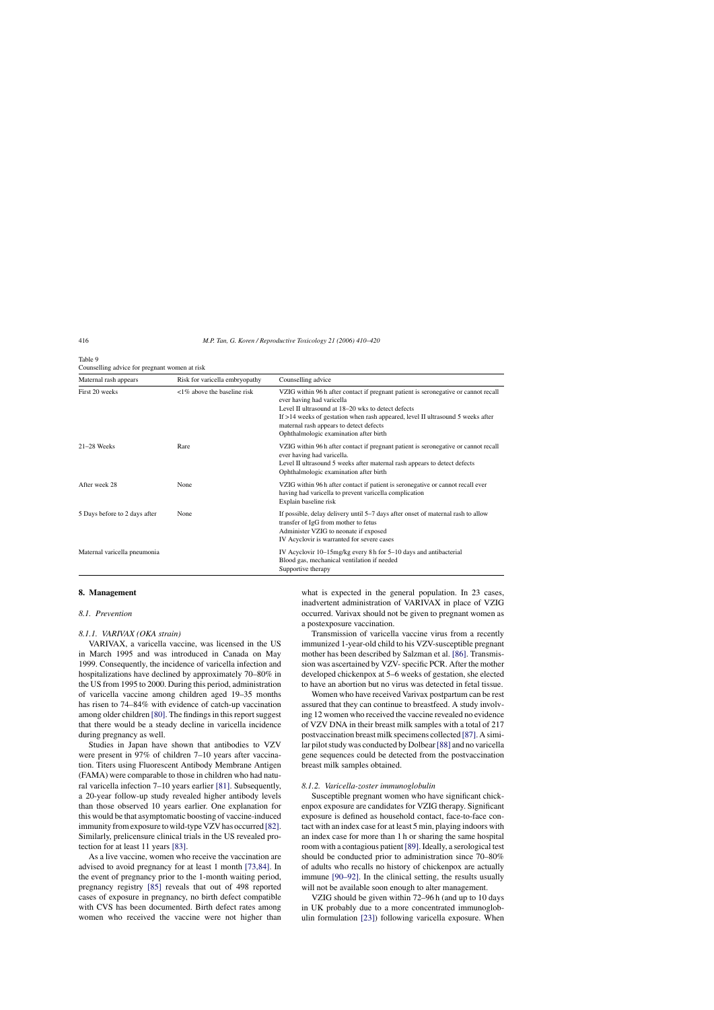<span id="page-6-0"></span>

| Table 9                                       |
|-----------------------------------------------|
| Counselling advice for pregnant women at risk |

| Maternal rash appears         | Risk for varicella embryopathy        | Counselling advice                                                                                                                                                                                                                                                                                                                               |
|-------------------------------|---------------------------------------|--------------------------------------------------------------------------------------------------------------------------------------------------------------------------------------------------------------------------------------------------------------------------------------------------------------------------------------------------|
| First 20 weeks                | $\langle 1\%$ above the baseline risk | VZIG within 96 h after contact if pregnant patient is seronegative or cannot recall<br>ever having had varicella<br>Level II ultrasound at 18–20 wks to detect defects<br>If $>14$ weeks of gestation when rash appeared, level II ultrasound 5 weeks after<br>maternal rash appears to detect defects<br>Ophthalmologic examination after birth |
| $21-28$ Weeks                 | Rare                                  | VZIG within 96 h after contact if pregnant patient is seronegative or cannot recall<br>ever having had varicella.<br>Level II ultrasound 5 weeks after maternal rash appears to detect defects<br>Ophthalmologic examination after birth                                                                                                         |
| After week 28                 | None                                  | VZIG within 96 h after contact if patient is seronegative or cannot recall ever<br>having had varicella to prevent varicella complication<br>Explain baseline risk                                                                                                                                                                               |
| 5 Days before to 2 days after | None                                  | If possible, delay delivery until 5–7 days after onset of maternal rash to allow<br>transfer of IgG from mother to fetus<br>Administer VZIG to neonate if exposed<br>IV Acyclovir is warranted for severe cases                                                                                                                                  |
| Maternal varicella pneumonia  |                                       | IV Acyclovir 10–15 mg/kg every 8 h for 5–10 days and antibacterial<br>Blood gas, mechanical ventilation if needed<br>Supportive therapy                                                                                                                                                                                                          |

# **8. Management**

# *8.1. Prevention*

#### *8.1.1. VARIVAX (OKA strain)*

VARIVAX, a varicella vaccine, was licensed in the US in March 1995 and was introduced in Canada on May 1999. Consequently, the incidence of varicella infection and hospitalizations have declined by approximately 70–80% in the US from 1995 to 2000. During this period, administration of varicella vaccine among children aged 19–35 months has risen to 74–84% with evidence of catch-up vaccination among older children [\[80\]. T](#page-9-0)he findings in this report suggest that there would be a steady decline in varicella incidence during pregnancy as well.

Studies in Japan have shown that antibodies to VZV were present in 97% of children 7–10 years after vaccination. Titers using Fluorescent Antibody Membrane Antigen (FAMA) were comparable to those in children who had natural varicella infection 7–10 years earlier [\[81\].](#page-9-0) Subsequently, a 20-year follow-up study revealed higher antibody levels than those observed 10 years earlier. One explanation for this would be that asymptomatic boosting of vaccine-induced immunity from exposure to wild-type VZV has occurred [\[82\].](#page-9-0) Similarly, prelicensure clinical trials in the US revealed protection for at least 11 years [\[83\].](#page-9-0)

As a live vaccine, women who receive the vaccination are advised to avoid pregnancy for at least 1 month [\[73,84\].](#page-9-0) In the event of pregnancy prior to the 1-month waiting period, pregnancy registry [\[85\]](#page-9-0) reveals that out of 498 reported cases of exposure in pregnancy, no birth defect compatible with CVS has been documented. Birth defect rates among women who received the vaccine were not higher than what is expected in the general population. In 23 cases, inadvertent administration of VARIVAX in place of VZIG occurred. Varivax should not be given to pregnant women as a postexposure vaccination.

Transmission of varicella vaccine virus from a recently immunized 1-year-old child to his VZV-susceptible pregnant mother has been described by Salzman et al. [\[86\]. T](#page-9-0)ransmission was ascertained by VZV- specific PCR. After the mother developed chickenpox at 5–6 weeks of gestation, she elected to have an abortion but no virus was detected in fetal tissue.

Women who have received Varivax postpartum can be rest assured that they can continue to breastfeed. A study involving 12 women who received the vaccine revealed no evidence of VZV DNA in their breast milk samples with a total of 217 postvaccination breast milk specimens collected [\[87\]. A](#page-9-0) similar pilot study was conducted by Dolbear[\[88\]](#page-9-0) and no varicella gene sequences could be detected from the postvaccination breast milk samples obtained.

#### *8.1.2. Varicella-zoster immunoglobulin*

Susceptible pregnant women who have significant chickenpox exposure are candidates for VZIG therapy. Significant exposure is defined as household contact, face-to-face contact with an index case for at least 5 min, playing indoors with an index case for more than 1 h or sharing the same hospital room with a contagious patient [\[89\]. I](#page-9-0)deally, a serological test should be conducted prior to administration since 70–80% of adults who recalls no history of chickenpox are actually immune [\[90–92\].](#page-9-0) In the clinical setting, the results usually will not be available soon enough to alter management.

VZIG should be given within 72–96 h (and up to 10 days in UK probably due to a more concentrated immunoglobulin formulation [\[23\]\)](#page-8-0) following varicella exposure. When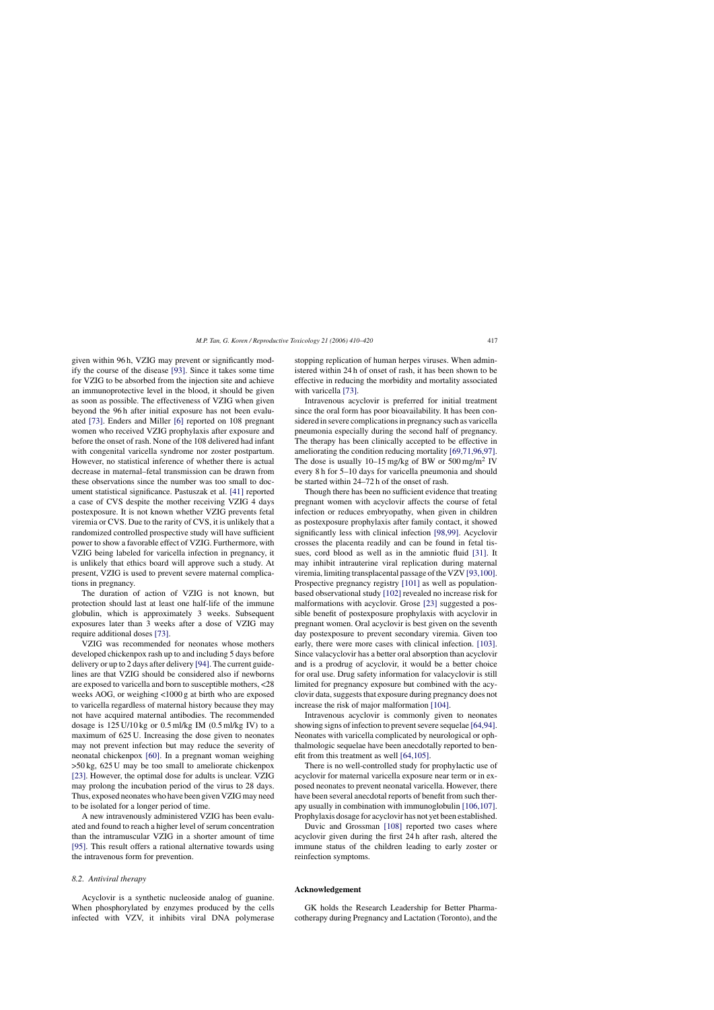given within 96 h, VZIG may prevent or significantly modify the course of the disease [\[93\].](#page-9-0) Since it takes some time for VZIG to be absorbed from the injection site and achieve an immunoprotective level in the blood, it should be given as soon as possible. The effectiveness of VZIG when given beyond the 96 h after initial exposure has not been evaluated [\[73\].](#page-9-0) Enders and Miller [\[6\]](#page-8-0) reported on 108 pregnant women who received VZIG prophylaxis after exposure and before the onset of rash. None of the 108 delivered had infant with congenital varicella syndrome nor zoster postpartum. However, no statistical inference of whether there is actual decrease in maternal–fetal transmission can be drawn from these observations since the number was too small to document statistical significance. Pastuszak et al. [\[41\]](#page-8-0) reported a case of CVS despite the mother receiving VZIG 4 days postexposure. It is not known whether VZIG prevents fetal viremia or CVS. Due to the rarity of CVS, it is unlikely that a randomized controlled prospective study will have sufficient power to show a favorable effect of VZIG. Furthermore, with VZIG being labeled for varicella infection in pregnancy, it is unlikely that ethics board will approve such a study. At present, VZIG is used to prevent severe maternal complications in pregnancy.

The duration of action of VZIG is not known, but protection should last at least one half-life of the immune globulin, which is approximately 3 weeks. Subsequent exposures later than 3 weeks after a dose of VZIG may require additional doses [\[73\].](#page-9-0)

VZIG was recommended for neonates whose mothers developed chickenpox rash up to and including 5 days before delivery or up to 2 days after delivery [\[94\]. T](#page-9-0)he current guidelines are that VZIG should be considered also if newborns are exposed to varicella and born to susceptible mothers, <28 weeks AOG, or weighing <1000 g at birth who are exposed to varicella regardless of maternal history because they may not have acquired maternal antibodies. The recommended dosage is  $125 \text{ U}/10 \text{ kg}$  or  $0.5 \text{ m}$ /kg IM  $(0.5 \text{ m}$ /kg IV) to a maximum of 625 U. Increasing the dose given to neonates may not prevent infection but may reduce the severity of neonatal chickenpox [\[60\].](#page-9-0) In a pregnant woman weighing >50 kg, 625 U may be too small to ameliorate chickenpox [\[23\].](#page-8-0) However, the optimal dose for adults is unclear. VZIG may prolong the incubation period of the virus to 28 days. Thus, exposed neonates who have been given VZIG may need to be isolated for a longer period of time.

A new intravenously administered VZIG has been evaluated and found to reach a higher level of serum concentration than the intramuscular VZIG in a shorter amount of time [\[95\].](#page-10-0) This result offers a rational alternative towards using the intravenous form for prevention.

# *8.2. Antiviral therapy*

Acyclovir is a synthetic nucleoside analog of guanine. When phosphorylated by enzymes produced by the cells infected with VZV, it inhibits viral DNA polymerase stopping replication of human herpes viruses. When administered within 24 h of onset of rash, it has been shown to be effective in reducing the morbidity and mortality associated with varicella [\[73\].](#page-9-0)

Intravenous acyclovir is preferred for initial treatment since the oral form has poor bioavailability. It has been considered in severe complications in pregnancy such as varicella pneumonia especially during the second half of pregnancy. The therapy has been clinically accepted to be effective in ameliorating the condition reducing mortality [\[69,71,96,97\].](#page-9-0) The dose is usually  $10-15$  mg/kg of BW or  $500$  mg/m<sup>2</sup> IV every 8 h for 5–10 days for varicella pneumonia and should be started within 24–72 h of the onset of rash.

Though there has been no sufficient evidence that treating pregnant women with acyclovir affects the course of fetal infection or reduces embryopathy, when given in children as postexposure prophylaxis after family contact, it showed significantly less with clinical infection [\[98,99\].](#page-10-0) Acyclovir crosses the placenta readily and can be found in fetal tissues, cord blood as well as in the amniotic fluid [\[31\].](#page-8-0) It may inhibit intrauterine viral replication during maternal viremia, limiting transplacental passage of the VZV [\[93,100\].](#page-9-0) Prospective pregnancy registry [\[101\]](#page-10-0) as well as populationbased observational study [\[102\]](#page-10-0) revealed no increase risk for malformations with acyclovir. Grose [\[23\]](#page-8-0) suggested a possible benefit of postexposure prophylaxis with acyclovir in pregnant women. Oral acyclovir is best given on the seventh day postexposure to prevent secondary viremia. Given too early, there were more cases with clinical infection. [\[103\].](#page-10-0) Since valacyclovir has a better oral absorption than acyclovir and is a prodrug of acyclovir, it would be a better choice for oral use. Drug safety information for valacyclovir is still limited for pregnancy exposure but combined with the acyclovir data, suggests that exposure during pregnancy does not increase the risk of major malformation [\[104\].](#page-10-0)

Intravenous acyclovir is commonly given to neonates showing signs of infection to prevent severe sequelae [\[64,94\].](#page-9-0) Neonates with varicella complicated by neurological or ophthalmologic sequelae have been anecdotally reported to benefit from this treatment as well [\[64,105\].](#page-9-0)

There is no well-controlled study for prophylactic use of acyclovir for maternal varicella exposure near term or in exposed neonates to prevent neonatal varicella. However, there have been several anecdotal reports of benefit from such therapy usually in combination with immunoglobulin [\[106,107\].](#page-10-0) Prophylaxis dosage for acyclovir has not yet been established.

Duvic and Grossman [\[108\]](#page-10-0) reported two cases where acyclovir given during the first 24 h after rash, altered the immune status of the children leading to early zoster or reinfection symptoms.

# **Acknowledgement**

GK holds the Research Leadership for Better Pharmacotherapy during Pregnancy and Lactation (Toronto), and the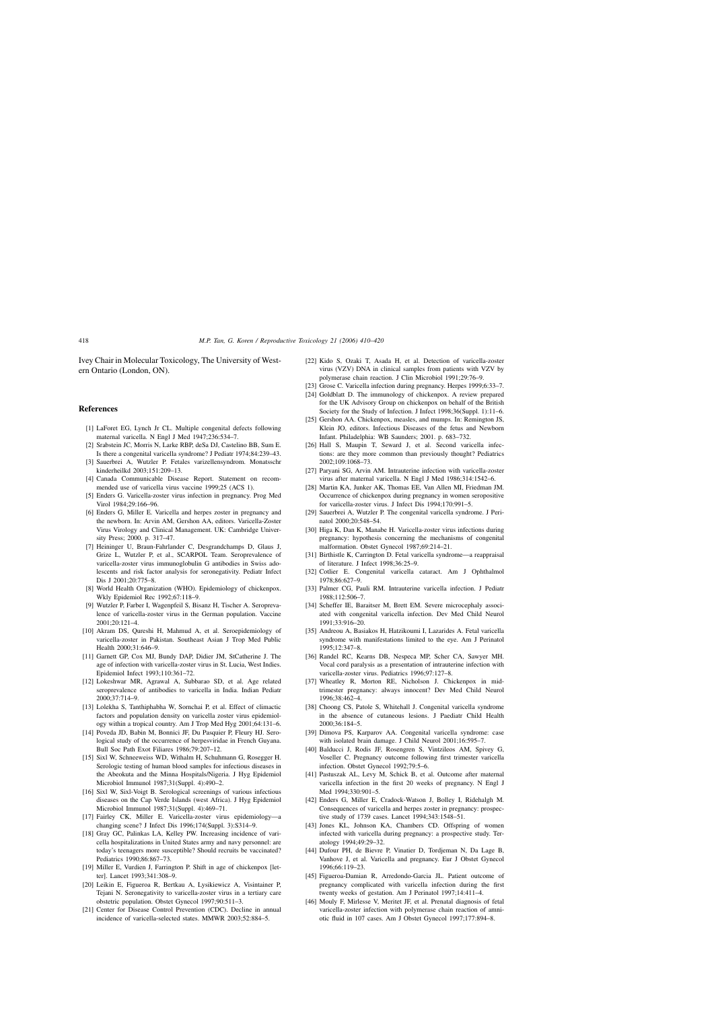<span id="page-8-0"></span>Ivey Chair in Molecular Toxicology, The University of Western Ontario (London, ON).

#### **References**

- [1] LaForet EG, Lynch Jr CL. Multiple congenital defects following maternal varicella. N Engl J Med 1947;236:534–7.
- [2] Srabstein JC, Morris N, Larke RBP, deSa DJ, Castelino BB, Sum E. Is there a congenital varicella syndrome? J Pediatr 1974;84:239–43.
- [3] Sauerbrei A, Wutzler P. Fetales varizellensyndrom. Monatsschr kinderheilkd 2003;151:209–13.
- [4] Canada Communicable Disease Report. Statement on recommended use of varicella virus vaccine 1999;25 (ACS 1).
- [5] Enders G. Varicella-zoster virus infection in pregnancy. Prog Med Virol 1984;29:166–96.
- [6] Enders G, Miller E. Varicella and herpes zoster in pregnancy and the newborn. In: Arvin AM, Gershon AA, editors. Varicella-Zoster Virus Virology and Clinical Management. UK: Cambridge University Press; 2000. p. 317–47.
- [7] Heininger U, Braun-Fahrlander C, Desgrandchamps D, Glaus J, Grize L, Wutzler P, et al., SCARPOL Team. Seroprevalence of varicella-zoster virus immunoglobulin G antibodies in Swiss adolescents and risk factor analysis for seronegativity. Pediatr Infect Dis J 2001;20:775–8.
- [8] World Health Organization (WHO). Epidemiology of chickenpox. Wkly Epidemiol Rec 1992;67:118–9.
- [9] Wutzler P, Farber I, Wagenpfeil S, Bisanz H, Tischer A. Seroprevalence of varicella-zoster virus in the German population. Vaccine 2001;20:121–4.
- [10] Akram DS, Qureshi H, Mahmud A, et al. Seroepidemiology of varicella-zoster in Pakistan. Southeast Asian J Trop Med Public Health 2000;31:646–9.
- [11] Garnett GP, Cox MJ, Bundy DAP, Didier JM, StCatherine J. The age of infection with varicella-zoster virus in St. Lucia, West Indies. Epidemiol Infect 1993;110:361–72.
- [12] Lokeshwar MR, Agrawal A, Subbarao SD, et al. Age related seroprevalence of antibodies to varicella in India. Indian Pediatr 2000;37:714–9.
- [13] Lolekha S, Tanthiphabha W, Sornchai P, et al. Effect of climactic factors and population density on varicella zoster virus epidemiology within a tropical country. Am J Trop Med Hyg 2001;64:131–6.
- [14] Poveda JD, Babin M, Bonnici JF, Du Pasquier P, Fleury HJ. Serological study of the occurrence of herpesviridae in French Guyana. Bull Soc Path Exot Filiares 1986;79:207–12.
- [15] Sixl W, Schneeweiss WD, Withalm H, Schuhmann G, Rosegger H. Serologic testing of human blood samples for infectious diseases in the Abeokuta and the Minna Hospitals/Nigeria. J Hyg Epidemiol Microbiol Immunol 1987;31(Suppl. 4):490–2.
- [16] Sixl W, Sixl-Voigt B. Serological screenings of various infectious diseases on the Cap Verde Islands (west Africa). J Hyg Epidemiol Microbiol Immunol 1987;31(Suppl. 4):469–71.
- [17] Fairley CK, Miller E. Varicella-zoster virus epidemiology—a changing scene? J Infect Dis 1996;174(Suppl. 3):S314–9.
- [18] Gray GC, Palinkas LA, Kelley PW. Increasing incidence of varicella hospitalizations in United States army and navy personnel: are today's teenagers more susceptible? Should recruits be vaccinated? Pediatrics 1990;86:867–73.
- [19] Miller E, Vurdien J, Farrington P. Shift in age of chickenpox [letter]. Lancet 1993;341:308–9.
- [20] Leikin E, Figueroa R, Bertkau A, Lysikiewicz A, Visintainer P, Tejani N. Seronegativity to varicella-zoster virus in a tertiary care obstetric population. Obstet Gynecol 1997;90:511–3.
- [21] Center for Disease Control Prevention (CDC). Decline in annual incidence of varicella-selected states. MMWR 2003;52:884–5.
- [22] Kido S, Ozaki T, Asada H, et al. Detection of varicella-zoster virus (VZV) DNA in clinical samples from patients with VZV by polymerase chain reaction. J Clin Microbiol 1991;29:76–9.
- [23] Grose C. Varicella infection during pregnancy. Herpes 1999;6:33–7.
- [24] Goldblatt D. The immunology of chickenpox. A review prepared for the UK Advisory Group on chickenpox on behalf of the British Society for the Study of Infection. J Infect 1998;36(Suppl. 1):11–6.
- [25] Gershon AA, Chickenpox, measles, and mumps. In: Remington JS, Klein JO, editors. Infectious Diseases of the fetus and Newborn Infant. Philadelphia: WB Saunders; 2001. p. 683–732.
- [26] Hall S, Maupin T, Seward J, et al. Second varicella infections: are they more common than previously thought? Pediatrics 2002;109:1068–73.
- [27] Paryani SG, Arvin AM. Intrauterine infection with varicella-zoster virus after maternal varicella. N Engl J Med 1986;314:1542–6.
- [28] Martin KA, Junker AK, Thomas EE, Van Allen MI, Friedman JM. Occurrence of chickenpox during pregnancy in women seropositive for varicella-zoster virus. J Infect Dis 1994;170:991–5.
- [29] Sauerbrei A, Wutzler P. The congenital varicella syndrome. J Perinatol 2000;20:548–54.
- [30] Higa K, Dan K, Manabe H. Varicella-zoster virus infections during pregnancy: hypothesis concerning the mechanisms of congenital malformation. Obstet Gynecol 1987;69:214–21.
- [31] Birthistle K, Carrington D. Fetal varicella syndrome—a reappraisal of literature. J Infect 1998;36:25–9.
- [32] Cotlier E. Congenital varicella cataract. Am J Ophthalmol 1978;86:627–9.
- [33] Palmer CG, Pauli RM. Intrauterine varicella infection. J Pediatr 1988;112:506–7.
- [34] Scheffer IE, Baraitser M, Brett EM. Severe microcephaly associated with congenital varicella infection. Dev Med Child Neurol 1991;33:916–20.
- [35] Andreou A, Basiakos H, Hatzikoumi I, Lazarides A. Fetal varicella syndrome with manifestations limited to the eye. Am J Perinatol 1995;12:347–8.
- [36] Randel RC, Kearns DB, Nespeca MP, Scher CA, Sawyer MH. Vocal cord paralysis as a presentation of intrauterine infection with varicella-zoster virus. Pediatrics 1996;97:127–8.
- [37] Wheatley R, Morton RE, Nicholson J. Chickenpox in midtrimester pregnancy: always innocent? Dev Med Child Neurol 1996;38:462–4.
- [38] Choong CS, Patole S, Whitehall J. Congenital varicella syndrome in the absence of cutaneous lesions. J Paediatr Child Health 2000;36:184–5.
- [39] Dimova PS, Karparov AA. Congenital varicella syndrome: case with isolated brain damage. J Child Neurol 2001;16:595–7.
- [40] Balducci J, Rodis JF, Rosengren S, Vintzileos AM, Spivey G, Voseller C. Pregnancy outcome following first trimester varicella infection. Obstet Gynecol 1992;79:5–6.
- [41] Pastuszak AL, Levy M, Schick B, et al. Outcome after maternal varicella infection in the first 20 weeks of pregnancy. N Engl J Med 1994;330:901–5.
- [42] Enders G, Miller E, Cradock-Watson J, Bolley I, Ridehalgh M. Consequences of varicella and herpes zoster in pregnancy: prospective study of 1739 cases. Lancet 1994;343:1548–51.
- [43] Jones KL, Johnson KA, Chambers CD. Offspring of women infected with varicella during pregnancy: a prospective study. Teratology 1994;49:29–32.
- [44] Dufour PH, de Bievre P, Vinatier D, Tordjeman N, Da Lage B, Vanhove J, et al. Varicella and pregnancy. Eur J Obstet Gynecol 1996;66:119–23.
- [45] Figueroa-Damian R, Arredondo-Garcia JL. Patient outcome of pregnancy complicated with varicella infection during the first twenty weeks of gestation. Am J Perinatol 1997;14:411–4.
- [46] Mouly F, Mirlesse V, Meritet JF, et al. Prenatal diagnosis of fetal varicella-zoster infection with polymerase chain reaction of amniotic fluid in 107 cases. Am J Obstet Gynecol 1997;177:894–8.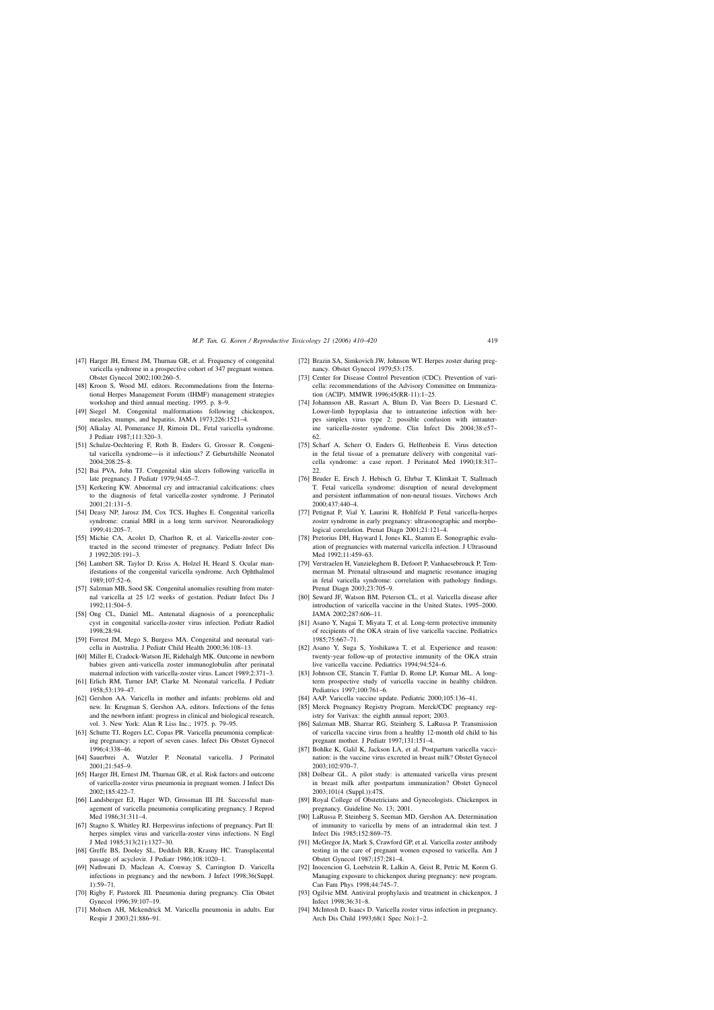- <span id="page-9-0"></span>[47] Harger JH, Ernest JM, Thurnau GR, et al. Frequency of congenital varicella syndrome in a prospective cohort of 347 pregnant women. Obstet Gynecol 2002;100:260–5.
- [48] Kroon S, Wood MJ, editors. Recommedations from the International Herpes Management Forum (IHMF) management strategies workshop and third annual meeting. 1995. p. 8–9.
- [49] Siegel M. Congenital malformations following chickenpox, measles, mumps, and hepatitis. JAMA 1973;226:1521–4.
- [50] Alkalay Al, Pomerance JJ, Rimoin DL. Fetal varicella syndrome. J Pediatr 1987;111:320–3.
- [51] Schulze-Oechtering F, Roth B, Enders G, Grosser R. Congenital varicella syndrome—is it infectious? Z Geburtshilfe Neonatol 2004;208:25–8.
- [52] Bai PVA, John TJ. Congenital skin ulcers following varicella in late pregnancy. J Pediatr 1979;94:65–7.
- [53] Kerkering KW. Abnormal cry and intracranial calcifications: clues to the diagnosis of fetal varicella-zoster syndrome. J Perinatol 2001;21:131–5.
- [54] Deasy NP, Jarosz JM, Cox TCS, Hughes E. Congenital varicella syndrome: cranial MRI in a long term survivor. Neuroradiology 1999;41:205–7.
- [55] Michie CA, Acolet D, Charlton R, et al. Varicella-zoster contracted in the second trimester of pregnancy. Pediatr Infect Dis  $I$  1992;205:191-3.
- [56] Lambert SR, Taylor D, Kriss A, Holzel H, Heard S, Ocular manifestations of the congenital varicella syndrome. Arch Ophthalmol 1989;107:52–6.
- [57] Salzman MB, Sood SK. Congenital anomalies resulting from maternal varicella at 25 1/2 weeks of gestation. Pediatr Infect Dis J 1992;11:504–5.
- [58] Ong CL, Daniel ML. Antenatal diagnosis of a porencephalic cyst in congenital varicella-zoster virus infection. Pediatr Radiol 1998;28:94.
- [59] Forrest JM, Mego S, Burgess MA. Congenital and neonatal varicella in Australia. J Pediatr Child Health 2000;36:108–13.
- [60] Miller E, Cradock-Watson JE, Ridehalgh MK. Outcome in newborn babies given anti-varicella zoster immunoglobulin after perinatal maternal infection with varicella-zoster virus. Lancet 1989;2:371–3.
- [61] Erlich RM, Turner JAP, Clarke M. Neonatal varicella. J Pediatr 1958;53:139–47.
- [62] Gershon AA. Varicella in mother and infants: problems old and new. In: Krugman S, Gershon AA, editors. Infections of the fetus and the newborn infant: progress in clinical and biological research, vol. 3. New York: Alan R Liss Inc.; 1975. p. 79–95.
- [63] Schutte TJ, Rogers LC, Copas PR. Varicella pneumonia complicating pregnancy: a report of seven cases. Infect Dis Obstet Gynecol 1996;4:338–46.
- [64] Sauerbrei A, Wutzler P. Neonatal varicella. J Perinatol 2001;21:545–9.
- [65] Harger JH, Ernest JM, Thurnau GR, et al. Risk factors and outcome of varicella-zoster virus pneumonia in pregnant women. J Infect Dis 2002;185:422–7.
- [66] Landsberger EJ, Hager WD, Grossman III JH. Successful management of varicella pneumonia complicating pregnancy. J Reprod Med 1986;31:311–4.
- [67] Stagno S, Whitley RJ. Herpesvirus infections of pregnancy. Part II: herpes simplex virus and varicella-zoster virus infections. N Engl J Med 1985;313(21):1327–30.
- [68] Greffe BS, Dooley SL, Deddish RB, Krasny HC. Transplacental passage of acyclovir. J Pediatr 1986;108:1020–1.
- [69] Nathwani D, Maclean A, Conway S, Carrington D. Varicella infections in pregnancy and the newborn. J Infect 1998;36(Suppl.  $1) \cdot 59 - 71$
- [70] Rigby F, Pastorek JII. Pneumonia during pregnancy. Clin Obstet Gynecol 1996;39:107–19.
- [71] Mohsen AH, Mckendrick M. Varicella pneumonia in adults. Eur Respir J 2003;21:886–91.
- [72] Brazin SA, Simkovich JW, Johnson WT. Herpes zoster during pregnancy. Obstet Gynecol 1979;53:175.
- [73] Center for Disease Control Prevention (CDC). Prevention of varicella: recommendations of the Advisory Committee on Immunization (ACIP). MMWR 1996;45(RR-11):1–25.
- [74] Johannson AB, Rassart A, Blum D, Van Beers D, Liesnard C. Lower-limb hypoplasia due to intrauterine infection with herpes simplex virus type 2: possible confusion with intrauterine varicella-zoster syndrome. Clin Infect Dis 2004;38:e57– 62.
- [75] Scharf A, Scherr O, Enders G, Helftenbein E. Virus detection in the fetal tissue of a premature delivery with congenital varicella syndrome: a case report. J Perinatol Med 1990;18:317–  $22.2$
- [76] Bruder E, Ersch J, Hebisch G, Ehrbar T, Klimkait T, Stallmach T. Fetal varicella syndrome: disruption of neural development and persistent inflammation of non-neural tissues. Virchows Arch 2000;437:440–4.
- [77] Petignat P, Vial Y, Laurini R, Hohlfeld P. Fetal varicella-herpes zoster syndrome in early pregnancy: ultrasonographic and morphological correlation. Prenat Diagn 2001;21:121–4.
- [78] Pretorius DH, Hayward I, Jones KL, Stamm E. Sonographic evaluation of pregnancies with maternal varicella infection. J Ultrasound Med 1992;11:459-63.
- [79] Verstraelen H, Vanzieleghem B, Defoort P, Vanhaesebrouck P, Temmerman M. Prenatal ultrasound and magnetic resonance imaging in fetal varicella syndrome: correlation with pathology findings. Prenat Diagn 2003;23:705–9.
- [80] Seward JF, Watson BM, Peterson CL, et al. Varicella disease after introduction of varicella vaccine in the United States, 1995–2000. JAMA 2002;287:606–11.
- [81] Asano Y, Nagai T, Miyata T, et al. Long-term protective immunity of recipients of the OKA strain of live varicella vaccine. Pediatrics 1985;75:667–71.
- [82] Asano Y, Suga S, Yoshikawa T, et al. Experience and reason: twenty-year follow-up of protective immunity of the OKA strain live varicella vaccine. Pediatrics 1994;94:524–6.
- [83] Johnson CE, Stancin T, Fattlar D, Rome LP, Kumar ML. A longterm prospective study of varicella vaccine in healthy children. Pediatrics 1997;100:761–6.
- [84] AAP. Varicella vaccine update. Pediatric 2000;105:136–41.
- [85] Merck Pregnancy Registry Program. Merck/CDC pregnancy registry for Varivax: the eighth annual report; 2003.
- [86] Salzman MB, Sharrar RG, Steinberg S, LaRussa P. Transmission of varicella vaccine virus from a healthy 12-month old child to his pregnant mother. J Pediatr 1997;131:151–4.
- [87] Bohlke K, Galil K, Jackson LA, et al. Postpartum varicella vaccination: is the vaccine virus excreted in breast milk? Obstet Gynecol 2003;102:970–7.
- [88] Dolbear GL. A pilot study: is attenuated varicella virus present in breast milk after postpartum immunization? Obstet Gynecol 2003;101(4 (Suppl.)):47S.
- [89] Royal College of Obstetricians and Gynecologists. Chickenpox in pregnancy. Guideline No. 13; 2001.
- [90] LaRussa P, Steinberg S, Seeman MD, Gershon AA. Determination of immunity to varicella by mens of an intradermal skin test. J Infect Dis 1985;152:869–75.
- [91] McGregor JA, Mark S, Crawford GP, et al. Varicella zoster antibody testing in the care of pregnant women exposed to varicella. Am J Obstet Gynecol 1987;157:281–4.
- [92] Inocencion G, Loebstein R, Lalkin A, Geist R, Petric M, Koren G. Managing exposure to chickenpox during pregnancy: new program. Can Fam Phys 1998;44:745–7.
- [93] Ogilvie MM. Antiviral prophylaxis and treatment in chickenpox. J Infect 1998;36:31–8.
- [94] McIntosh D, Isaacs D. Varicella zoster virus infection in pregnancy. Arch Dis Child 1993;68(1 Spec No):1–2.